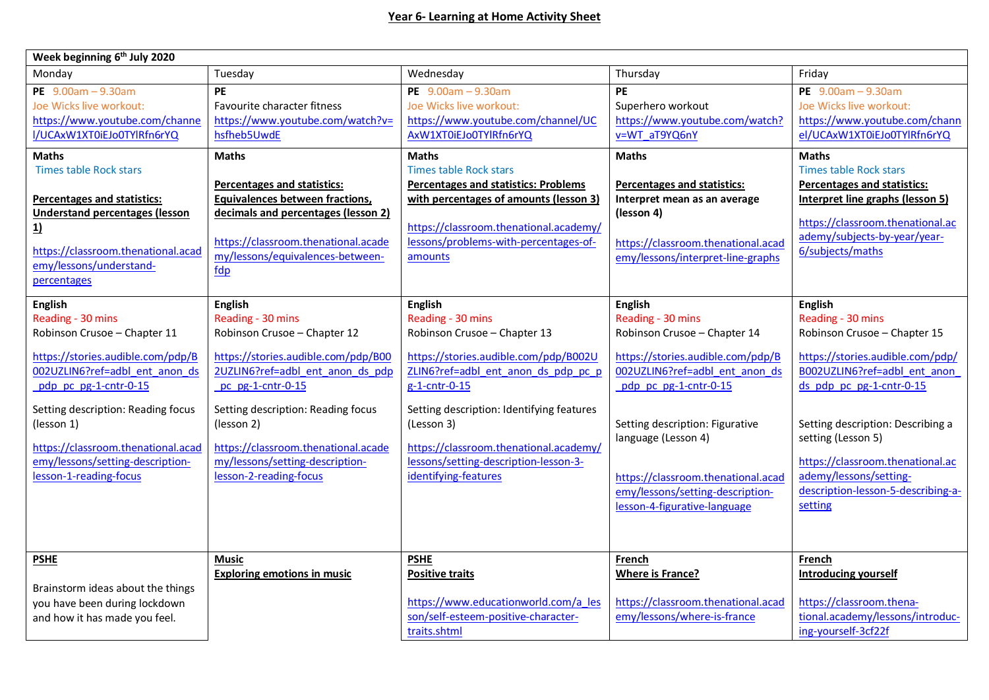| Week beginning 6 <sup>th</sup> July 2020                                                                                                                                                                                                                                                                                    |                                                                                                                                                                                                                                                                                                                             |                                                                                                                                                                                                                                                                                                                                     |                                                                                                                                                                                                                                                                                                                                         |                                                                                                                                                                                                                                                                                                                                               |
|-----------------------------------------------------------------------------------------------------------------------------------------------------------------------------------------------------------------------------------------------------------------------------------------------------------------------------|-----------------------------------------------------------------------------------------------------------------------------------------------------------------------------------------------------------------------------------------------------------------------------------------------------------------------------|-------------------------------------------------------------------------------------------------------------------------------------------------------------------------------------------------------------------------------------------------------------------------------------------------------------------------------------|-----------------------------------------------------------------------------------------------------------------------------------------------------------------------------------------------------------------------------------------------------------------------------------------------------------------------------------------|-----------------------------------------------------------------------------------------------------------------------------------------------------------------------------------------------------------------------------------------------------------------------------------------------------------------------------------------------|
| Monday                                                                                                                                                                                                                                                                                                                      | Tuesday                                                                                                                                                                                                                                                                                                                     | Wednesday                                                                                                                                                                                                                                                                                                                           | Thursday                                                                                                                                                                                                                                                                                                                                | Friday                                                                                                                                                                                                                                                                                                                                        |
| PE $9.00am - 9.30am$<br>Joe Wicks live workout:<br>https://www.youtube.com/channe<br>I/UCAxW1XT0iEJo0TYlRfn6rYQ<br><b>Maths</b>                                                                                                                                                                                             | <b>PE</b><br>Favourite character fitness<br>https://www.youtube.com/watch?v=<br>hsfheb5UwdE<br><b>Maths</b>                                                                                                                                                                                                                 | PE $9.00am - 9.30am$<br>Joe Wicks live workout:<br>https://www.youtube.com/channel/UC<br>AxW1XT0iEJo0TYlRfn6rYQ<br><b>Maths</b>                                                                                                                                                                                                     | <b>PE</b><br>Superhero workout<br>https://www.youtube.com/watch?<br>v=WT aT9YQ6nY<br><b>Maths</b>                                                                                                                                                                                                                                       | PE $9.00am - 9.30am$<br>Joe Wicks live workout:<br>https://www.youtube.com/chann<br>el/UCAxW1XT0iEJo0TYlRfn6rYQ<br><b>Maths</b>                                                                                                                                                                                                               |
| <b>Times table Rock stars</b><br><b>Percentages and statistics:</b><br><b>Understand percentages (lesson</b><br>1)<br>https://classroom.thenational.acad<br>emy/lessons/understand-<br>percentages                                                                                                                          | <b>Percentages and statistics:</b><br>Equivalences between fractions,<br>decimals and percentages (lesson 2)<br>https://classroom.thenational.acade<br>my/lessons/equivalences-between-<br>fdp                                                                                                                              | <b>Times table Rock stars</b><br><b>Percentages and statistics: Problems</b><br>with percentages of amounts (lesson 3)<br>https://classroom.thenational.academy/<br>lessons/problems-with-percentages-of-<br>amounts                                                                                                                | <b>Percentages and statistics:</b><br>Interpret mean as an average<br>(lesson 4)<br>https://classroom.thenational.acad<br>emy/lessons/interpret-line-graphs                                                                                                                                                                             | <b>Times table Rock stars</b><br><b>Percentages and statistics:</b><br>Interpret line graphs (lesson 5)<br>https://classroom.thenational.ac<br>ademy/subjects-by-year/year-<br>6/subjects/maths                                                                                                                                               |
| <b>English</b><br>Reading - 30 mins<br>Robinson Crusoe - Chapter 11<br>https://stories.audible.com/pdp/B<br>002UZLIN6?ref=adbl ent anon ds<br>pdp pc pg-1-cntr-0-15<br>Setting description: Reading focus<br>(lesson 1)<br>https://classroom.thenational.acad<br>emy/lessons/setting-description-<br>lesson-1-reading-focus | <b>English</b><br>Reading - 30 mins<br>Robinson Crusoe - Chapter 12<br>https://stories.audible.com/pdp/B00<br>2UZLIN6?ref=adbl ent anon ds pdp<br>pc pg-1-cntr-0-15<br>Setting description: Reading focus<br>(lesson 2)<br>https://classroom.thenational.acade<br>my/lessons/setting-description-<br>lesson-2-reading-focus | English<br>Reading - 30 mins<br>Robinson Crusoe - Chapter 13<br>https://stories.audible.com/pdp/B002U<br>ZLIN6?ref=adbl ent anon ds pdp pc p<br>g-1-cntr-0-15<br>Setting description: Identifying features<br>(Lesson 3)<br>https://classroom.thenational.academy/<br>lessons/setting-description-lesson-3-<br>identifying-features | <b>English</b><br>Reading - 30 mins<br>Robinson Crusoe - Chapter 14<br>https://stories.audible.com/pdp/B<br>002UZLIN6?ref=adbl ent anon ds<br>pdp pc pg-1-cntr-0-15<br>Setting description: Figurative<br>language (Lesson 4)<br>https://classroom.thenational.acad<br>emy/lessons/setting-description-<br>lesson-4-figurative-language | <b>English</b><br>Reading - 30 mins<br>Robinson Crusoe - Chapter 15<br>https://stories.audible.com/pdp/<br>B002UZLIN6?ref=adbl ent anon<br>ds pdp pc pg-1-cntr-0-15<br>Setting description: Describing a<br>setting (Lesson 5)<br>https://classroom.thenational.ac<br>ademy/lessons/setting-<br>description-lesson-5-describing-a-<br>setting |
| <b>PSHE</b><br>Brainstorm ideas about the things<br>you have been during lockdown<br>and how it has made you feel.                                                                                                                                                                                                          | Music<br><b>Exploring emotions in music</b>                                                                                                                                                                                                                                                                                 | <b>PSHE</b><br><b>Positive traits</b><br>https://www.educationworld.com/a les<br>son/self-esteem-positive-character-<br>traits.shtml                                                                                                                                                                                                | French<br><b>Where is France?</b><br>https://classroom.thenational.acad<br>emy/lessons/where-is-france                                                                                                                                                                                                                                  | French<br><b>Introducing yourself</b><br>https://classroom.thena-<br>tional.academy/lessons/introduc-<br>ing-yourself-3cf22f                                                                                                                                                                                                                  |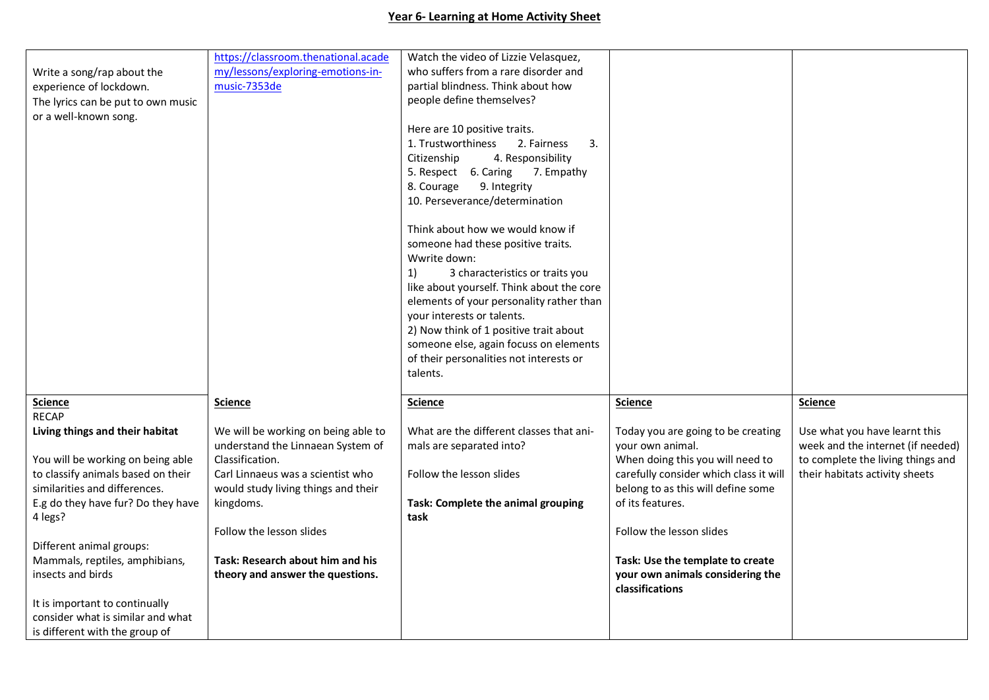## **Year 6- Learning at Home Activity Sheet**

|                                    | https://classroom.thenational.acade | Watch the video of Lizzie Velasquez,      |                                        |                                   |
|------------------------------------|-------------------------------------|-------------------------------------------|----------------------------------------|-----------------------------------|
| Write a song/rap about the         | my/lessons/exploring-emotions-in-   | who suffers from a rare disorder and      |                                        |                                   |
| experience of lockdown.            | music-7353de                        | partial blindness. Think about how        |                                        |                                   |
| The lyrics can be put to own music |                                     | people define themselves?                 |                                        |                                   |
| or a well-known song.              |                                     |                                           |                                        |                                   |
|                                    |                                     | Here are 10 positive traits.              |                                        |                                   |
|                                    |                                     | 1. Trustworthiness<br>2. Fairness<br>3.   |                                        |                                   |
|                                    |                                     | 4. Responsibility<br>Citizenship          |                                        |                                   |
|                                    |                                     | 5. Respect 6. Caring<br>7. Empathy        |                                        |                                   |
|                                    |                                     | 8. Courage<br>9. Integrity                |                                        |                                   |
|                                    |                                     | 10. Perseverance/determination            |                                        |                                   |
|                                    |                                     |                                           |                                        |                                   |
|                                    |                                     | Think about how we would know if          |                                        |                                   |
|                                    |                                     | someone had these positive traits.        |                                        |                                   |
|                                    |                                     | Wwrite down:                              |                                        |                                   |
|                                    |                                     | 3 characteristics or traits you<br>1)     |                                        |                                   |
|                                    |                                     | like about yourself. Think about the core |                                        |                                   |
|                                    |                                     | elements of your personality rather than  |                                        |                                   |
|                                    |                                     |                                           |                                        |                                   |
|                                    |                                     | your interests or talents.                |                                        |                                   |
|                                    |                                     | 2) Now think of 1 positive trait about    |                                        |                                   |
|                                    |                                     | someone else, again focuss on elements    |                                        |                                   |
|                                    |                                     | of their personalities not interests or   |                                        |                                   |
|                                    |                                     | talents.                                  |                                        |                                   |
| <b>Science</b>                     | <b>Science</b>                      | <b>Science</b>                            | <b>Science</b>                         | <b>Science</b>                    |
| <b>RECAP</b>                       |                                     |                                           |                                        |                                   |
| Living things and their habitat    | We will be working on being able to | What are the different classes that ani-  | Today you are going to be creating     | Use what you have learnt this     |
|                                    |                                     |                                           |                                        |                                   |
|                                    | understand the Linnaean System of   | mals are separated into?                  | your own animal.                       | week and the internet (if needed) |
| You will be working on being able  | Classification.                     |                                           | When doing this you will need to       | to complete the living things and |
| to classify animals based on their | Carl Linnaeus was a scientist who   | Follow the lesson slides                  | carefully consider which class it will | their habitats activity sheets    |
| similarities and differences.      | would study living things and their |                                           | belong to as this will define some     |                                   |
| E.g do they have fur? Do they have | kingdoms.                           | Task: Complete the animal grouping        | of its features.                       |                                   |
| 4 legs?                            |                                     | task                                      |                                        |                                   |
|                                    | Follow the lesson slides            |                                           | Follow the lesson slides               |                                   |
| Different animal groups:           |                                     |                                           |                                        |                                   |
| Mammals, reptiles, amphibians,     | Task: Research about him and his    |                                           | Task: Use the template to create       |                                   |
| insects and birds                  | theory and answer the questions.    |                                           | your own animals considering the       |                                   |
|                                    |                                     |                                           | classifications                        |                                   |
| It is important to continually     |                                     |                                           |                                        |                                   |
| consider what is similar and what  |                                     |                                           |                                        |                                   |
| is different with the group of     |                                     |                                           |                                        |                                   |